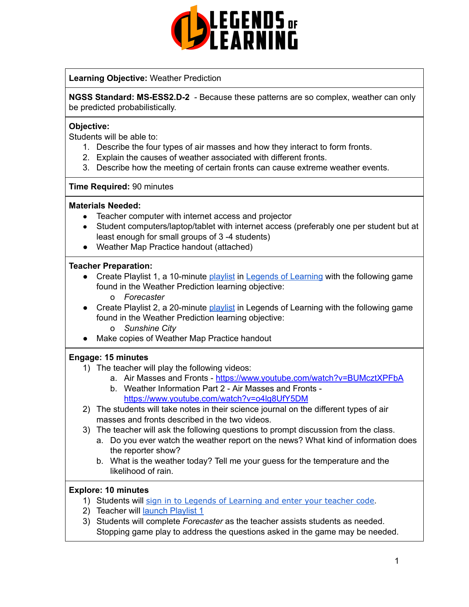

### **Learning Objective:** Weather Prediction

**NGSS Standard: MS-ESS2.D-2** - Because these patterns are so complex, weather can only be predicted probabilistically.

#### **Objective:**

Students will be able to:

- 1. Describe the four types of air masses and how they interact to form fronts.
- 2. Explain the causes of weather associated with different fronts.
- 3. Describe how the meeting of certain fronts can cause extreme weather events.

#### **Time Required:** 90 minutes

#### **Materials Needed:**

- Teacher computer with internet access and projector
- Student computers/laptop/tablet with internet access (preferably one per student but at least enough for small groups of 3-4 students)
- Weather Map Practice handout (attached)

#### **Teacher Preparation:**

- Create Playlist 1, a 10-minute [playlist](https://lol.desk.com/customer/en/portal/articles/2822815-creating-multiple-playlists) in Legends of [Learning](https://teachers.legendsoflearning.com/sign-in) with the following game found in the Weather Prediction learning objective: o *Forecaster*
- Create Playlist 2, a 20-minute [playlist](https://lol.desk.com/customer/en/portal/articles/2822815-creating-multiple-playlists) in Legends of Learning with the following game found in the Weather Prediction learning objective:
	- o *Sunshine City*
- Make copies of Weather Map Practice handout

#### **Engage: 15 minutes**

- 1) The teacher will play the following videos:
	- a. Air Masses and Fronts <https://www.youtube.com/watch?v=BUMcztXPFbA>
	- b. Weather Information Part 2 Air Masses and Fronts <https://www.youtube.com/watch?v=o4lg8UfY5DM>
- 2) The students will take notes in their science journal on the different types of air masses and fronts described in the two videos.
- 3) The teacher will ask the following questions to prompt discussion from the class.
	- a. Do you ever watch the weather report on the news? What kind of information does the reporter show?
	- b. What is the weather today? Tell me your guess for the temperature and the likelihood of rain.

#### **Explore: 10 minutes**

- 1) Students will sign in to Legends of [Learning](https://lol.desk.com/customer/en/portal/articles/2809984-students-joining-a-playlist) and enter your teacher code.
- 2) Teacher will launch [Playlist](https://lol.desk.com/customer/en/portal/articles/2822815-creating-multiple-playlists) 1
- 3) Students will complete *Forecaster* as the teacher assists students as needed. Stopping game play to address the questions asked in the game may be needed.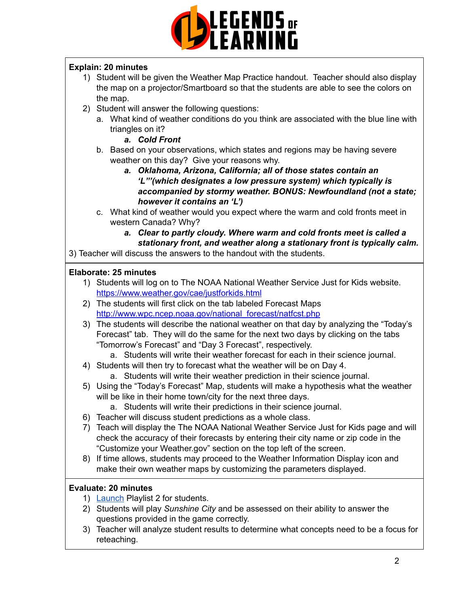

# **Explain: 20 minutes**

- 1) Student will be given the Weather Map Practice handout. Teacher should also display the map on a projector/Smartboard so that the students are able to see the colors on the map.
- 2) Student will answer the following questions:
	- a. What kind of weather conditions do you think are associated with the blue line with triangles on it?
		- *a. Cold Front*
	- b. Based on your observations, which states and regions may be having severe weather on this day? Give your reasons why.
		- *a. Oklahoma, Arizona, California; all of those states contain an 'L"'(which designates a low pressure system) which typically is accompanied by stormy weather. BONUS: Newfoundland (not a state; however it contains an 'L')*
	- c. What kind of weather would you expect where the warm and cold fronts meet in western Canada? Why?
		- *a. Clear to partly cloudy. Where warm and cold fronts meet is called a stationary front, and weather along a stationary front is typically calm.*

3) Teacher will discuss the answers to the handout with the students.

# **Elaborate: 25 minutes**

- 1) Students will log on to The NOAA National Weather Service Just for Kids website. <https://www.weather.gov/cae/justforkids.html>
- 2) The students will first click on the tab labeled Forecast Maps [http://www.wpc.ncep.noaa.gov/national\\_forecast/natfcst.php](http://www.wpc.ncep.noaa.gov/national_forecast/natfcst.php)
- 3) The students will describe the national weather on that day by analyzing the "Today's Forecast" tab. They will do the same for the next two days by clicking on the tabs "Tomorrow's Forecast" and "Day 3 Forecast", respectively.
	- a. Students will write their weather forecast for each in their science journal.
- 4) Students will then try to forecast what the weather will be on Day 4.
	- a. Students will write their weather prediction in their science journal.
- 5) Using the "Today's Forecast" Map, students will make a hypothesis what the weather will be like in their home town/city for the next three days.
	- a. Students will write their predictions in their science journal.
- 6) Teacher will discuss student predictions as a whole class.
- 7) Teach will display the The NOAA National Weather Service Just for Kids page and will check the accuracy of their forecasts by entering their city name or zip code in the "Customize your Weather.gov" section on the top left of the screen.
- 8) If time allows, students may proceed to the Weather Information Display icon and make their own weather maps by customizing the parameters displayed.

## **Evaluate: 20 minutes**

- 1) [Launch](https://lol.desk.com/customer/en/portal/articles/2822815-creating-multiple-playlists) Playlist 2 for students.
- 2) Students will play *Sunshine City* and be assessed on their ability to answer the questions provided in the game correctly.
- 3) Teacher will analyze student results to determine what concepts need to be a focus for reteaching.